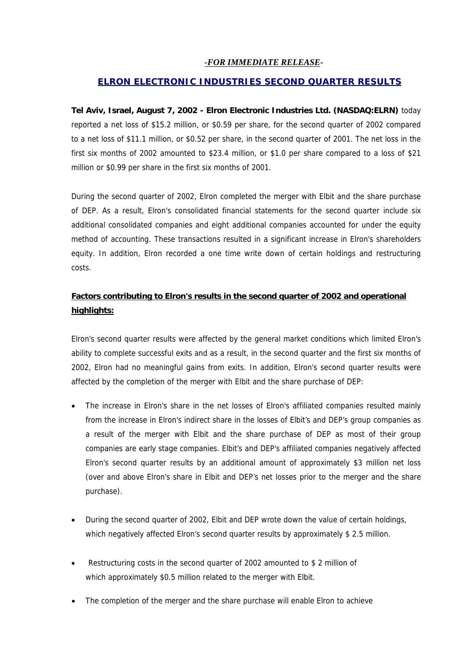### *-FOR IMMEDIATE RELEASE-*

### *ELRON ELECTRONIC INDUSTRIES SECOND QUARTER RESULTS*

**Tel Aviv, Israel, August 7, 2002 - Elron Electronic Industries Ltd. (NASDAQ:ELRN)** today reported a net loss of \$15.2 million, or \$0.59 per share, for the second quarter of 2002 compared to a net loss of \$11.1 million, or \$0.52 per share, in the second quarter of 2001. The net loss in the first six months of 2002 amounted to \$23.4 million, or \$1.0 per share compared to a loss of \$21 million or \$0.99 per share in the first six months of 2001.

During the second quarter of 2002, Elron completed the merger with Elbit and the share purchase of DEP. As a result, Elron's consolidated financial statements for the second quarter include six additional consolidated companies and eight additional companies accounted for under the equity method of accounting. These transactions resulted in a significant increase in Elron's shareholders equity. In addition, Elron recorded a one time write down of certain holdings and restructuring costs.

## **Factors contributing to Elron's results in the second quarter of 2002 and operational highlights:**

Elron's second quarter results were affected by the general market conditions which limited Elron's ability to complete successful exits and as a result, in the second quarter and the first six months of 2002, Elron had no meaningful gains from exits. In addition, Elron's second quarter results were affected by the completion of the merger with Elbit and the share purchase of DEP:

- The increase in Elron's share in the net losses of Elron's affiliated companies resulted mainly from the increase in Elron's indirect share in the losses of Elbit's and DEP's group companies as a result of the merger with Elbit and the share purchase of DEP as most of their group companies are early stage companies. Elbit's and DEP's affiliated companies negatively affected Elron's second quarter results by an additional amount of approximately \$3 million net loss (over and above Elron's share in Elbit and DEP's net losses prior to the merger and the share purchase).
- During the second quarter of 2002, Elbit and DEP wrote down the value of certain holdings, which negatively affected Elron's second quarter results by approximately \$2.5 million.
- Restructuring costs in the second quarter of 2002 amounted to \$ 2 million of which approximately \$0.5 million related to the merger with Elbit.
- The completion of the merger and the share purchase will enable Elron to achieve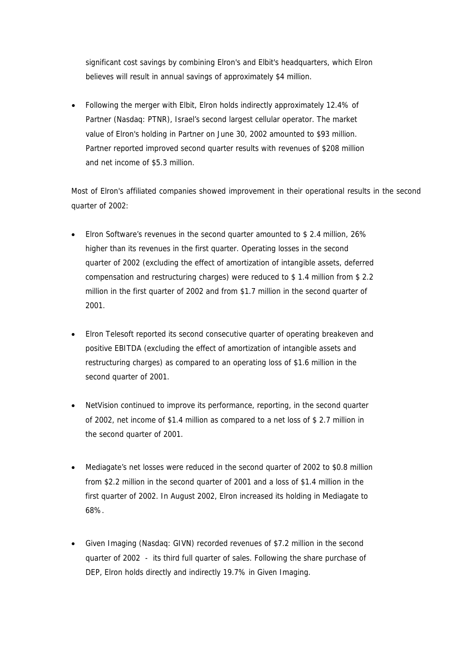significant cost savings by combining Elron's and Elbit's headquarters, which Elron believes will result in annual savings of approximately \$4 million.

• Following the merger with Elbit, Elron holds indirectly approximately 12.4% of Partner (Nasdaq: PTNR), Israel's second largest cellular operator. The market value of Elron's holding in Partner on June 30, 2002 amounted to \$93 million. Partner reported improved second quarter results with revenues of \$208 million and net income of \$5.3 million.

Most of Elron's affiliated companies showed improvement in their operational results in the second quarter of 2002:

- Elron Software's revenues in the second quarter amounted to \$ 2.4 million, 26% higher than its revenues in the first quarter. Operating losses in the second quarter of 2002 (excluding the effect of amortization of intangible assets, deferred compensation and restructuring charges) were reduced to \$ 1.4 million from \$ 2.2 million in the first quarter of 2002 and from \$1.7 million in the second quarter of 2001.
- Elron Telesoft reported its second consecutive quarter of operating breakeven and positive EBITDA (excluding the effect of amortization of intangible assets and restructuring charges) as compared to an operating loss of \$1.6 million in the second quarter of 2001.
- NetVision continued to improve its performance, reporting, in the second quarter of 2002, net income of \$1.4 million as compared to a net loss of \$ 2.7 million in the second quarter of 2001.
- Mediagate's net losses were reduced in the second quarter of 2002 to \$0.8 million from \$2.2 million in the second quarter of 2001 and a loss of \$1.4 million in the first quarter of 2002. In August 2002, Elron increased its holding in Mediagate to 68%.
- Given Imaging (Nasdaq: GIVN) recorded revenues of \$7.2 million in the second quarter of 2002 - its third full quarter of sales. Following the share purchase of DEP, Elron holds directly and indirectly 19.7% in Given Imaging.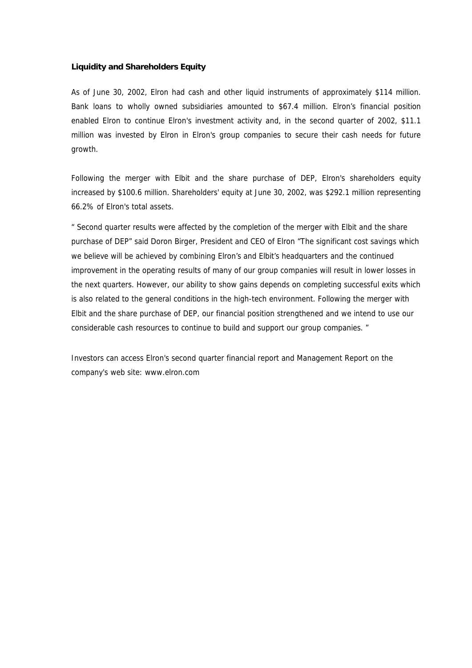#### **Liquidity and Shareholders Equity**

As of June 30, 2002, Elron had cash and other liquid instruments of approximately \$114 million. Bank loans to wholly owned subsidiaries amounted to \$67.4 million. Elron's financial position enabled Elron to continue Elron's investment activity and, in the second quarter of 2002, \$11.1 million was invested by Elron in Elron's group companies to secure their cash needs for future growth.

Following the merger with Elbit and the share purchase of DEP, Elron's shareholders equity increased by \$100.6 million. Shareholders' equity at June 30, 2002, was \$292.1 million representing 66.2% of Elron's total assets.

" Second quarter results were affected by the completion of the merger with Elbit and the share purchase of DEP" said Doron Birger, President and CEO of Elron "The significant cost savings which we believe will be achieved by combining Elron's and Elbit's headquarters and the continued improvement in the operating results of many of our group companies will result in lower losses in the next quarters. However, our ability to show gains depends on completing successful exits which is also related to the general conditions in the high-tech environment. Following the merger with Elbit and the share purchase of DEP, our financial position strengthened and we intend to use our considerable cash resources to continue to build and support our group companies. "

Investors can access Elron's second quarter financial report and Management Report on the company's web site: www.elron.com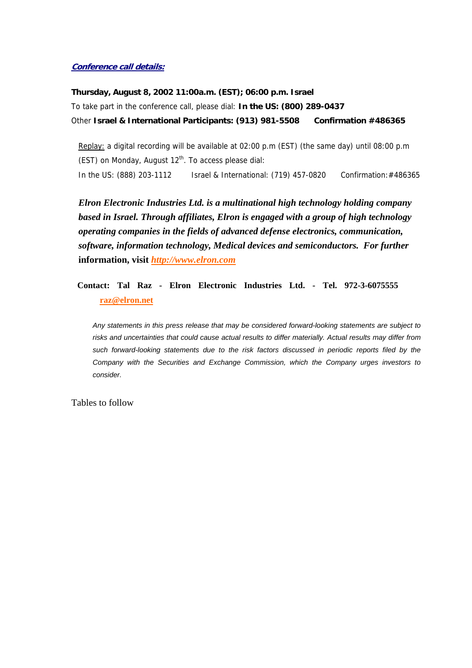#### **Conference call details:**

**Thursday, August 8, 2002 11:00a.m. (EST); 06:00 p.m. Israel**  To take part in the conference call, please dial: **In the US: (800) 289-0437** Other **Israel & International Participants: (913) 981-5508 Confirmation #486365**

Replay: a digital recording will be available at 02:00 p.m (EST) (the same day) until 08:00 p.m (EST) on Monday, August  $12<sup>th</sup>$ . To access please dial: In the US: (888) 203-1112 Israel & International: (719) 457-0820 Confirmation:#486365

*Elron Electronic Industries Ltd. is a multinational high technology holding company based in Israel. Through affiliates, Elron is engaged with a group of high technology operating companies in the fields of advanced defense electronics, communication, software, information technology, Medical devices and semiconductors. For further* **information, visit** *http://www.elron.com*

**Contact: Tal Raz - Elron Electronic Industries Ltd. - Tel. 972-3-6075555 raz@elron.net**

*Any statements in this press release that may be considered forward-looking statements are subject to risks and uncertainties that could cause actual results to differ materially. Actual results may differ from such forward-looking statements due to the risk factors discussed in periodic reports filed by the Company with the Securities and Exchange Commission, which the Company urges investors to consider.* 

Tables to follow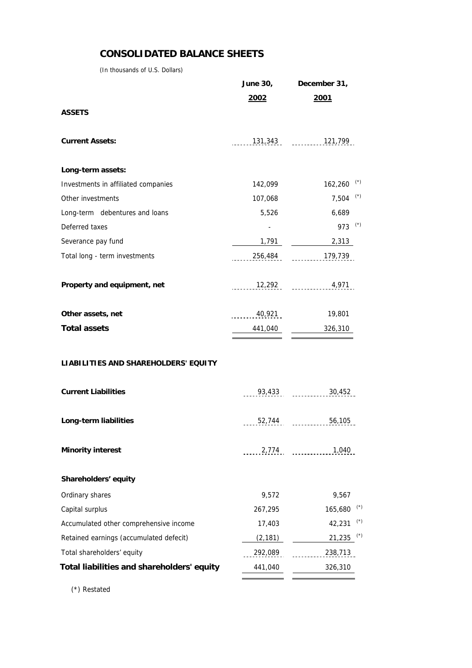## **CONSOLIDATED BALANCE SHEETS**

(In thousands of U.S. Dollars)

|                                            |              | June 30, December 31,     |  |  |
|--------------------------------------------|--------------|---------------------------|--|--|
|                                            | <u> 2002</u> | 2001                      |  |  |
| <b>ASSETS</b>                              |              |                           |  |  |
| <b>Current Assets:</b>                     |              | $131,343$ $121,799$       |  |  |
| Long-term assets:                          |              |                           |  |  |
| Investments in affiliated companies        | 142,099      | $162,260$ <sup>(*)</sup>  |  |  |
| Other investments                          | 107,068      | $7,504$ <sup>(*)</sup>    |  |  |
| Long-term debentures and loans             | 5,526        | 6,689                     |  |  |
| Deferred taxes                             |              | 973 $(*)$                 |  |  |
| Severance pay fund                         | 1,791        | 2,313                     |  |  |
| Total long - term investments              |              | $256,484$ $179,739$       |  |  |
| Property and equipment, net                |              | $12,292$ $4,971$          |  |  |
| Other assets, net                          |              | $\frac{40,921}{2}$ 19,801 |  |  |
| <b>Total assets</b>                        |              | $441,040$ $326,310$       |  |  |
| LIABILITIES AND SHAREHOLDERS' EQUITY       |              |                           |  |  |
| <b>Current Liabilities</b>                 |              | $93,433$ $30,452$         |  |  |
| Long-term liabilities                      |              | 52,744 56,105             |  |  |
| <b>Minority interest</b>                   |              | 2,774<br>1,040            |  |  |
| Shareholders' equity                       |              |                           |  |  |
| Ordinary shares                            | 9,572        | 9,567                     |  |  |
| Capital surplus                            | 267,295      | $165,680$ (*)             |  |  |
| Accumulated other comprehensive income     | 17,403       | $(\star)$<br>42,231       |  |  |
| Retained earnings (accumulated defecit)    | (2, 181)     | $21,235$ (*)              |  |  |
| Total shareholders' equity                 | 292,089      | 238,713                   |  |  |
| Total liabilities and shareholders' equity | 441,040      | 326,310                   |  |  |
|                                            |              |                           |  |  |

(\*) Restated